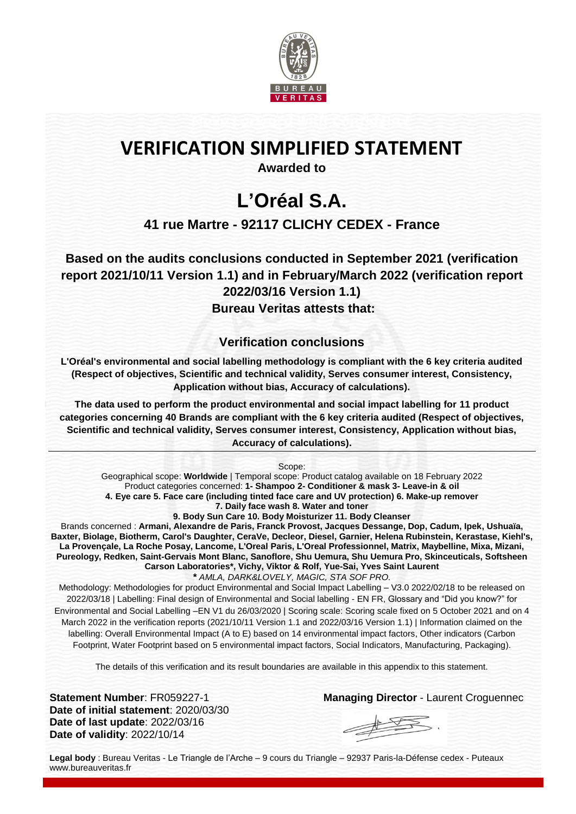

## **VERIFICATION SIMPLIFIED STATEMENT**

**Awarded to**

# **L'Oréal S.A.**

### **41 rue Martre - 92117 CLICHY CEDEX - France**

**Based on the audits conclusions conducted in September 2021 (verification report 2021/10/11 Version 1.1) and in February/March 2022 (verification report 2022/03/16 Version 1.1) Bureau Veritas attests that:**

### **Verification conclusions**

**L'Oréal's environmental and social labelling methodology is compliant with the 6 key criteria audited (Respect of objectives, Scientific and technical validity, Serves consumer interest, Consistency, Application without bias, Accuracy of calculations).**

**The data used to perform the product environmental and social impact labelling for 11 product categories concerning 40 Brands are compliant with the 6 key criteria audited (Respect of objectives, Scientific and technical validity, Serves consumer interest, Consistency, Application without bias, Accuracy of calculations).**

Scope: Geographical scope: **Worldwide** | Temporal scope: Product catalog available on 18 February 2022 Product categories concerned: **1- Shampoo 2- Conditioner & mask 3- Leave-in & oil 4. Eye care 5. Face care (including tinted face care and UV protection) 6. Make-up remover 7. Daily face wash 8. Water and toner 9. Body Sun Care 10. Body Moisturizer 11. Body Cleanser** Brands concerned : **Armani, Alexandre de Paris, Franck Provost, Jacques Dessange, Dop, Cadum, Ipek, Ushuaïa, Baxter, Biolage, Biotherm, Carol's Daughter, CeraVe, Decleor, Diesel, Garnier, Helena Rubinstein, Kerastase, Kiehl's, La Provençale, La Roche Posay, Lancome, L'Oreal Paris, L'Oreal Professionnel, Matrix, Maybelline, Mixa, Mizani, Pureology, Redken, Saint-Gervais Mont Blanc, Sanoflore, Shu Uemura, Shu Uemura Pro, Skinceuticals, Softsheen Carson Laboratories\*, Vichy, Viktor & Rolf, Yue-Sai, Yves Saint Laurent** *\* AMLA, DARK&LOVELY, MAGIC, STA SOF PRO.*

Methodology: Methodologies for product Environmental and Social Impact Labelling – V3.0 2022/02/18 to be released on 2022/03/18 | Labelling: Final design of Environmental and Social labelling - EN FR, Glossary and "Did you know?" for Environmental and Social Labelling –EN V1 du 26/03/2020 | Scoring scale: Scoring scale fixed on 5 October 2021 and on 4 March 2022 in the verification reports (2021/10/11 Version 1.1 and 2022/03/16 Version 1.1) | Information claimed on the labelling: Overall Environmental Impact (A to E) based on 14 environmental impact factors, Other indicators (Carbon Footprint, Water Footprint based on 5 environmental impact factors, Social Indicators, Manufacturing, Packaging).

The details of this verification and its result boundaries are available in this appendix to this statement.

**Date of initial statement**: 2020/03/30 **Date of last update**: 2022/03/16 **Date of validity**: 2022/10/14

**Statement Number**: FR059227-1 **Managing Director** - Laurent Croguennec

**Legal body** : Bureau Veritas - Le Triangle de l'Arche – 9 cours du Triangle – 92937 Paris-la-Défense cedex - Puteaux www.bureauveritas.fr